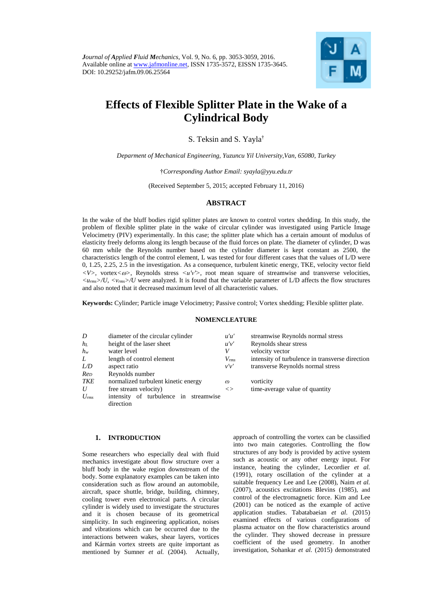

# **Effects of Flexible Splitter Plate in the Wake of a Cylindrical Body**

S. Teksin and S. Yayla†

*Deparment of Mechanical Engineering, Yuzuncu Yil University,Van, 65080, Turkey*

†*Corresponding Author Email: syayla@yyu.edu.tr*

(Received September 5, 2015; accepted February 11, 2016)

## **ABSTRACT**

In the wake of the bluff bodies rigid splitter plates are known to control vortex shedding. In this study, the problem of flexible splitter plate in the wake of circular cylinder was investigated using Particle Image Velocimetry (PIV) experimentally. In this case; the splitter plate which has a certain amount of modulus of elasticity freely deforms along its length because of the fluid forces on plate. The diameter of cylinder, D was 60 mm while the Reynolds number based on the cylinder diameter is kept constant as 2500, the characteristics length of the control element, L was tested for four different cases that the values of L/D were 0, 1.25, 2.25, 2.5 in the investigation. As a consequence, turbulent kinetic energy, TKE, velocity vector field *<V>*, vortex*<>*, Reynolds stress *<u′v′>*, root mean square of streamwise and transverse velocities, *<urms>/U*, *<vrms>/U* were analyzed. It is found that the variable parameter of L/D affects the flow structures and also noted that it decreased maximum level of all characteristic values.

**Keywords:** Cylinder; Particle image Velocimetry; Passive control; Vortex shedding; Flexible splitter plate.

## **NOMENCLEATURE**

| D               | diameter of the circular cylinder     | u'u'       | streamwise Reynolds normal stress               |
|-----------------|---------------------------------------|------------|-------------------------------------------------|
| $h_L$           | height of the laser sheet             | u'v'       | Reynolds shear stress                           |
| $h_w$           | water level                           | V          | velocity vector                                 |
| L               | length of control element             | $V_{rms}$  | intensity of turbulence in transverse direction |
| L/D             | aspect ratio                          | $\nu'\nu'$ | transverse Reynolds normal stress               |
| Re <sub>D</sub> | Reynolds number                       |            |                                                 |
| TKE             | normalized turbulent kinetic energy   | $\varpi$   | vorticity                                       |
| U               | free stream velocity)                 | $\ll$      | time-average value of quantity                  |
| $U_{rms}$       | intensity of turbulence in streamwise |            |                                                 |
|                 | direction                             |            |                                                 |

# **1. INTRODUCTION**

Some researchers who especially deal with fluid mechanics investigate about flow structure over a bluff body in the wake region downstream of the body. Some explanatory examples can be taken into consideration such as flow around an automobile, aircraft, space shuttle, bridge, building, chimney, cooling tower even electronical parts. A circular cylinder is widely used to investigate the structures and it is chosen because of its geometrical simplicity. In such engineering application, noises and vibrations which can be occurred due to the interactions between wakes, shear layers, vortices and Kármán vortex streets are quite important as mentioned by Sumner *et al.* (2004). Actually,

approach of controlling the vortex can be classified into two main categories. Controlling the flow structures of any body is provided by active system such as acoustic or any other energy input. For instance, heating the cylinder, Lecordier *et al.* (1991), rotary oscillation of the cylinder at a suitable frequency Lee and Lee (2008), Naim *et al.* (2007), acoustics excitations Blevins (1985), and control of the electromagnetic force. Kim and Lee (2001) can be noticed as the example of active application studies. Tabatabaeian *et al.* (2015) examined effects of various configurations of plasma actuator on the flow characteristics around the cylinder. They showed decrease in pressure coefficient of the used geometry. In another investigation, Sohankar *et al.* (2015) demonstrated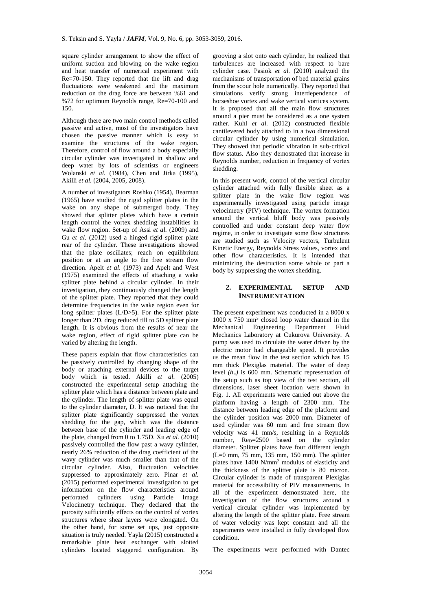square cylinder arrangement to show the effect of uniform suction and blowing on the wake region and heat transfer of numerical experiment with Re=70-150. They reported that the lift and drag fluctuations were weakened and the maximum reduction on the drag force are between %61 and %72 for optimum Reynolds range, Re=70-100 and 150.

Although there are two main control methods called passive and active, most of the investigators have chosen the passive manner which is easy to examine the structures of the wake region. Therefore, control of flow around a body especially circular cylinder was investigated in shallow and deep water by lots of scientists or engineers Wolanski *et al.* (1984), Chen and Jirka (1995), Akilli *et al.* (2004, 2005, 2008).

A number of investigators Roshko (1954), Bearman (1965) have studied the rigid splitter plates in the wake on any shape of submerged body. They showed that splitter plates which have a certain length control the vortex shedding instabilities in wake flow region. Set-up of Assi *et al.* (2009) and Gu *et al.* (2012) used a hinged rigid splitter plate rear of the cylinder. These investigations showed that the plate oscillates; reach on equilibrium position or at an angle to the free stream flow direction. Apelt *et al.* (1973) and Apelt and West (1975) examined the effects of attaching a wake splitter plate behind a circular cylinder. In their investigation, they continuously changed the length of the splitter plate. They reported that they could determine frequencies in the wake region even for long splitter plates (L/D>5). For the splitter plate longer than 2D, drag reduced till to 5D splitter plate length. It is obvious from the results of near the wake region, effect of rigid splitter plate can be varied by altering the length.

These papers explain that flow characteristics can be passively controlled by changing shape of the body or attaching external devices to the target body which is tested. Akilli *et al.* (2005) constructed the experimental setup attaching the splitter plate which has a distance between plate and the cylinder. The length of splitter plate was equal to the cylinder diameter, D. It was noticed that the splitter plate significantly suppressed the vortex shedding for the gap, which was the distance between base of the cylinder and leading edge of the plate, changed from 0 to 1.75D. Xu *et al.* (2010) passively controlled the flow past a wavy cylinder, nearly 26% reduction of the drag coefficient of the wavy cylinder was much smaller than that of the circular cylinder. Also, fluctuation velocities suppressed to approximately zero. Pinar *et al.* (2015) performed experimental investigation to get information on the flow characteristics around perforated cylinders using Particle Image Velocimetry technique. They declared that the porosity sufficiently effects on the control of vortex structures where shear layers were elongated. On the other hand, for some set ups, just opposite situation is truly needed. Yayla (2015) constructed a remarkable plate heat exchanger with slotted cylinders located staggered configuration. By

grooving a slot onto each cylinder, he realized that turbulences are increased with respect to bare cylinder case. Pasiok *et al.* (2010) analyzed the mechanisms of transportation of bed material grains from the scour hole numerically. They reported that simulations verify strong interdependence of horseshoe vortex and wake vertical vortices system. It is proposed that all the main flow structures around a pier must be considered as a one system rather. Kuhl *et al.* (2012) constructed flexible cantilevered body attached to in a two dimensional circular cylinder by using numerical simulation. They showed that periodic vibration in sub-critical flow status. Also they demostrated that increase in Reynolds number, reduction in frequency of vortex shedding.

In this present work, control of the vertical circular cylinder attached with fully flexible sheet as a splitter plate in the wake flow region was experimentally investigated using particle image velocimetry (PIV) technique. The vortex formation around the vertical bluff body was passively controlled and under constant deep water flow regime, in order to investigate some flow structures are studied such as Velocity vectors, Turbulent Kinetic Energy, Reynolds Stress values, vortex and other flow characteristics. It is intended that minimizing the destruction some whole or part a body by suppressing the vortex shedding.

# **2. EXPERIMENTAL SETUP AND INSTRUMENTATION**

The present experiment was conducted in a 8000 x 1000 x 750 mm<sup>3</sup> closed loop water channel in the Mechanical Engineering Department Fluid Mechanics Laboratory at Cukurova University. A pump was used to circulate the water driven by the electric motor had changeable speed. It provides us the mean flow in the test section which has 15 mm thick Plexiglas material. The water of deep level *(hw)* is 600 mm. Schematic representation of the setup such as top view of the test section, all dimensions, laser sheet location were shown in Fig. 1. All experiments were carried out above the platform having a length of 2300 mm. The distance between leading edge of the platform and the cylinder position was 2000 mm. Diameter of used cylinder was 60 mm and free stream flow velocity was 41 mm/s, resulting in a Reynolds number, Re<sub>D</sub>=2500 based on the cylinder diameter. Splitter plates have four different length  $(L=0$  mm,  $75$  mm,  $135$  mm,  $150$  mm). The splitter plates have 1400 N/mm<sup>2</sup> modulus of elasticity and the thickness of the splitter plate is 80 micron. Circular cylinder is made of transparent Plexiglas material for accessibility of PIV measurements. In all of the experiment demonstrated here, the investigation of the flow structures around a vertical circular cylinder was implemented by altering the length of the splitter plate. Free stream of water velocity was kept constant and all the experiments were installed in fully developed flow condition.

The experiments were performed with Dantec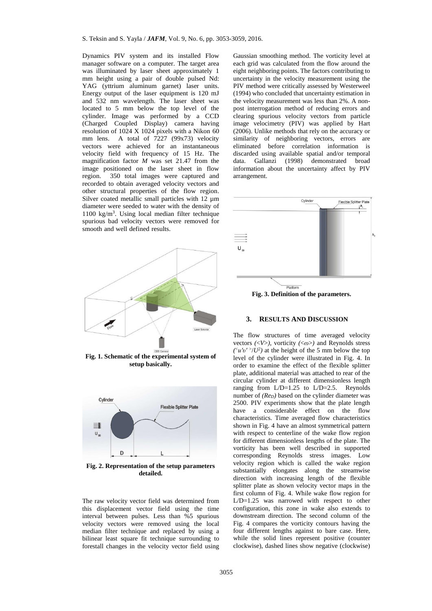Dynamics PIV system and its installed Flow manager software on a computer. The target area was illuminated by laser sheet approximately 1 mm height using a pair of double pulsed Nd: YAG (yttrium aluminum garnet) laser units. Energy output of the laser equipment is 120 mJ and 532 nm wavelength. The laser sheet was located to 5 mm below the top level of the cylinder. Image was performed by a CCD (Charged Coupled Display) camera having resolution of 1024 X 1024 pixels with a Nikon 60 mm lens. A total of 7227 (99x73) velocity vectors were achieved for an instantaneous velocity field with frequency of 15 Hz. The magnification factor *M* was set 21.47 from the image positioned on the laser sheet in flow region. 350 total images were captured and recorded to obtain averaged velocity vectors and other structural properties of the flow region. Silver coated metallic small particles with 12  $\mu$ m diameter were seeded to water with the density of 1100 kg/m<sup>3</sup> . Using local median filter technique spurious bad velocity vectors were removed for smooth and well defined results.



**Fig. 1. Schematic of the experimental system of setup basically.**



**Fig. 2. Representation of the setup parameters detailed.**

The raw velocity vector field was determined from this displacement vector field using the time interval between pulses. Less than %5 spurious velocity vectors were removed using the local median filter technique and replaced by using a bilinear least square fit technique surrounding to forestall changes in the velocity vector field using

Gaussian smoothing method. The vorticity level at each grid was calculated from the flow around the eight neighboring points. The factors contributing to uncertainty in the velocity measurement using the PIV method were critically assessed by Westerweel (1994) who concluded that uncertainty estimation in the velocity measurement was less than 2%. A nonpost interrogation method of reducing errors and clearing spurious velocity vectors from particle image velocimetry (PIV) was applied by Hart (2006). Unlike methods that rely on the accuracy or similarity of neighboring vectors, errors are eliminated before correlation information is discarded using available spatial and/or temporal data. Gallanzi (1998) demonstrated broad information about the uncertainty affect by PIV arrangement.



**Fig. 3. Definition of the parameters.**

#### **3. RESULTS AND DISCUSSION**

The flow structures of time averaged velocity vectors  $\langle \langle V \rangle$ , vorticity  $\langle \langle \varpi \rangle \rangle$  and Reynolds stress  $(\frac{u'v'}{l'})U^2$  at the height of the 5 mm below the top level of the cylinder were illustrated in Fig. 4. In order to examine the effect of the flexible splitter plate, additional material was attached to rear of the circular cylinder at different dimensionless length ranging from L/D=1.25 to L/D=2.5. Reynolds number of *(Re<sub>D</sub>)* based on the cylinder diameter was 2500. PIV experiments show that the plate length have a considerable effect on the flow characteristics. Time averaged flow characteristics shown in Fig. 4 have an almost symmetrical pattern with respect to centerline of the wake flow region for different dimensionless lengths of the plate. The vorticity has been well described in supported corresponding Reynolds stress images. Low velocity region which is called the wake region substantially elongates along the streamwise direction with increasing length of the flexible splitter plate as shown velocity vector maps in the first column of Fig. 4. While wake flow region for L/D=1.25 was narrowed with respect to other configuration, this zone in wake also extends to downstream direction. The second column of the Fig. 4 compares the vorticity contours having the four different lengths against to bare case. Here, while the solid lines represent positive (counter clockwise), dashed lines show negative (clockwise)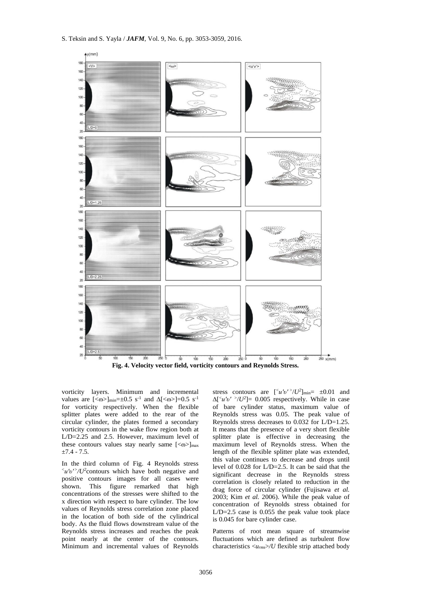

vorticity layers. Minimum and incremental values are  $[<\omega>]_{min}=\pm 0.5 \text{ s}^{-1}$  and  $\Delta[<\omega>]=0.5 \text{ s}^{-1}$ for vorticity respectively. When the flexible splitter plates were added to the rear of the circular cylinder, the plates formed a secondary vorticity contours in the wake flow region both at L/D=2.25 and 2.5. However, maximum level of these contours values stay nearly same  $\lfloor$  <  $\omega$ > $\rfloor$ <sub>max</sub>  $±7.4 - 7.5.$ 

In the third column of Fig. 4 Reynolds stress <sup>V</sup>*u'v'* >/*U*<sup>2</sup> contours which have both negative and positive contours images for all cases were shown. This figure remarked that high concentrations of the stresses were shifted to the x direction with respect to bare cylinder. The low values of Reynolds stress correlation zone placed in the location of both side of the cylindrical body. As the fluid flows downstream value of the Reynolds stress increases and reaches the peak point nearly at the center of the contours. Minimum and incremental values of Reynolds

stress contours are  $\left[\frac{\langle u'v'\rangle}{U^2}\right]_{\text{min}} = \pm 0.01$  and  $\Delta$ [<sup><</sup>u'v' >/U<sup>2</sup>] = 0.005 respectively. While in case of bare cylinder status, maximum value of Reynolds stress was 0.05. The peak value of Reynolds stress decreases to  $0.032$  for L/D=1.25. It means that the presence of a very short flexible splitter plate is effective in decreasing the maximum level of Reynolds stress. When the length of the flexible splitter plate was extended, this value continues to decrease and drops until level of 0.028 for L/D=2.5. It can be said that the significant decrease in the Reynolds stress correlation is closely related to reduction in the drag force of circular cylinder (Fujisawa *et al.* 2003; Kim *et al.* 2006). While the peak value of concentration of Reynolds stress obtained for  $L/D=2.5$  case is 0.055 the peak value took place is 0.045 for bare cylinder case.

Patterns of root mean square of streamwise fluctuations which are defined as turbulent flow characteristics <*urms*>*/U* flexible strip attached body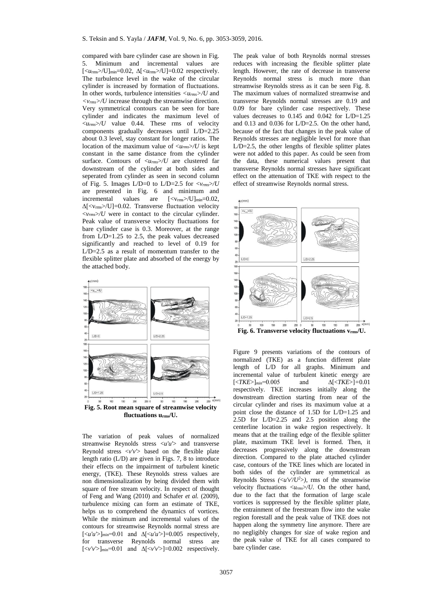compared with bare cylinder case are shown in Fig. 5. Minimum and incremental values are  $\left[\langle u_{\rm rms} \rangle / U \right]_{\rm min} = 0.02$ ,  $\Delta \left[\langle u_{\rm rms} \rangle / U \right] = 0.02$  respectively. The turbulence level in the wake of the circular cylinder is increased by formation of fluctuations. In other words, turbulence intensities *<urms>/U* and *<vrms>/U* increase through the streamwise direction. Very symmetrical contours can be seen for bare cylinder and indicates the maximum level of  $\langle u_{rms}\rangle$  value 0.44. These rms of velocity components gradually decreases until L/D=2.25 about 0.3 level, stay constant for longer ratios. The location of the maximum value of  $\langle u_{rms} \rangle / U$  is kept constant in the same distance from the cylinder surface. Contours of  $\langle u_{rms} \rangle / U$  are clustered far downstream of the cylinder at both sides and seperated from cylinder as seen in second column of Fig. 5. Images  $L/D=0$  to  $L/D=2.5$  for  $\langle v_{rms}\rangle/U$ are presented in Fig. 6 and minimum and incremental values are  $[\langle v_{\text{rms}} \rangle / U]_{\text{min}} = 0.02$ , ∆[<vrms>/U]=0.02. Transverse fluctuation velocity  $\langle v_{rms}\rangle$  were in contact to the circular cylinder. Peak value of transverse velocity fluctuations for bare cylinder case is 0.3. Moreover, at the range from L/D=1.25 to 2.5, the peak values decreased significantly and reached to level of 0.19 for  $L/D=2.5$  as a result of momentum transfer to the flexible splitter plate and absorbed of the energy by the attached body.



The variation of peak values of normalized streamwise Reynolds stress <*u'u'*> and transverse Reynold stress  $\langle v'v' \rangle$  based on the flexible plate length ratio (L/D) are given in Figs. 7, 8 to introduce their effects on the impairment of turbulent kinetic energy, (TKE). These Reynolds stress values are non dimensionalization by being divided them with square of free stream velocity. In respect of thought of Feng and Wang (2010) and Schafer *et al.* (2009), turbulence mixing can form an estimate of TKE, helps us to comprehend the dynamics of vortices. While the minimum and incremental values of the contours for streamwise Reynolds normal stress are  $\left[\langle u'u'\rangle\right]_{\text{min}}=0.01$  and  $\Delta\left[\langle u'u'\rangle\right]=0.005$  respectively, for transverse Reynolds normal stress are  $[\langle v'v'\rangle]_{\text{min}}=0.01$  and  $\Delta[\langle v'v'\rangle]=0.002$  respectively. The peak value of both Reynolds normal stresses reduces with increasing the flexible splitter plate length. However, the rate of decrease in transverse Reynolds normal stress is much more than streamwise Reynolds stress as it can be seen Fig. 8. The maximum values of normalized streamwise and transverse Reynolds normal stresses are 0.19 and 0.09 for bare cylinder case respectively. These values decreases to  $0.145$  and  $0.042$  for  $L/D=1.25$ and 0.13 and 0.036 for L/D=2.5. On the other hand, because of the fact that changes in the peak value of Reynolds stresses are negligible level for more than L/D=2.5, the other lengths of flexible splitter plates were not added to this paper. As could be seen from the data, these numerical values present that transverse Reynolds normal stresses have significant effect on the attenuation of TKE with respect to the effect of streamwise Reynolds normal stress.



Figure 9 presents variations of the contours of normalized (TKE) as a function different plate length of L/D for all graphs. Minimum and incremental value of turbulent kinetic energy are<br> $\sqrt{\frac{\text{K}}{\text{K}}\text{F}} = 0.005$  and  $\Delta\sqrt{\frac{\text{K}}{\text{K}}\text{F}} = 0.01$  $\frac{|Z|}{|Z|}$ *=*0.005 and respectively. TKE increases initially along the downstream direction starting from near of the circular cylinder and rises its maximum value at a point close the distance of 1.5D for L/D=1.25 and 2.5D for L/D=2.25 and 2.5 position along the centerline location in wake region respectively. It means that at the trailing edge of the flexible splitter plate, maximum TKE level is formed. Then, it decreases progressively along the downstream direction. Compared to the plate attached cylinder case, contours of the TKE lines which are located in both sides of the cylinder are symmetrical as Reynolds Stress  $\left(\frac{\langle u'v' \rangle}{\langle v'' \rangle}\right)$ , rms of the streamwise velocity fluctuations <*urms*>*/U*. On the other hand, due to the fact that the formation of large scale vortices is suppressed by the flexible splitter plate, the entrainment of the freestream flow into the wake region forestall and the peak value of TKE does not happen along the symmetry line anymore. There are no negligibly changes for size of wake region and the peak value of TKE for all cases compared to bare cylinder case.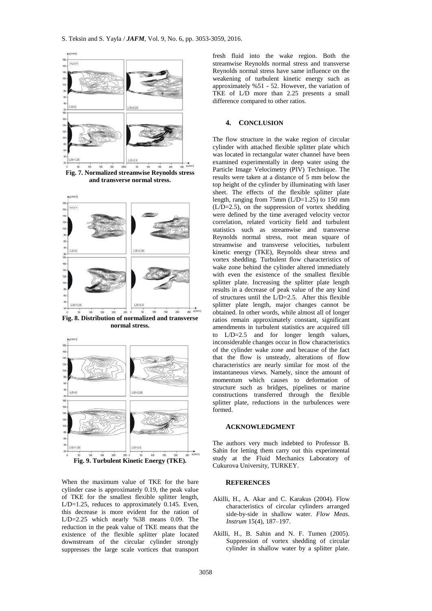

**Fig. 7. Normalized streamwise Reynolds stress and transverse normal stress.**



**Fig. 8. Distribution of normalized and transverse normal stress.**



When the maximum value of TKE for the bare cylinder case is approximately 0.19, the peak value of TKE for the smallest flexible splitter length, L/D=1.25, reduces to approximately 0.145. Even, this decrease is more evident for the ration of L/D=2.25 which nearly %38 means 0.09. The reduction in the peak value of TKE means that the existence of the flexible splitter plate located downstream of the circular cylinder strongly suppresses the large scale vortices that transport

fresh fluid into the wake region. Both the streamwise Reynolds normal stress and transverse Reynolds normal stress have same influence on the weakening of turbulent kinetic energy such as approximately %51 - 52. However, the variation of TKE of L/D more than 2.25 presents a small difference compared to other ratios.

## **4. CONCLUSION**

The flow structure in the wake region of circular cylinder with attached flexible splitter plate which was located in rectangular water channel have been examined experimentally in deep water using the Particle Image Velocimetry (PIV) Technique. The results were taken at a distance of 5 mm below the top height of the cylinder by illuminating with laser sheet. The effects of the flexible splitter plate length, ranging from  $75$ mm (L/D=1.25) to 150 mm (L/D=2.5), on the suppression of vortex shedding were defined by the time averaged velocity vector correlation, related vorticity field and turbulent statistics such as streamwise and transverse Reynolds normal stress, root mean square of streamwise and transverse velocities, turbulent kinetic energy (TKE), Reynolds shear stress and vortex shedding. Turbulent flow characteristics of wake zone behind the cylinder altered immediately with even the existence of the smallest flexible splitter plate. Increasing the splitter plate length results in a decrease of peak value of the any kind of structures until the  $L/D=2.5$ . After this flexible splitter plate length, major changes cannot be obtained. In other words, while almost all of longer ratios remain approximately constant, significant amendments in turbulent statistics are acquired till to L/D=2.5 and for longer length values, inconsiderable changes occur in flow characteristics of the cylinder wake zone and because of the fact that the flow is unsteady, alterations of flow characteristics are nearly similar for most of the instantaneous views. Namely, since the amount of momentum which causes to deformation of structure such as bridges, pipelines or marine constructions transferred through the flexible splitter plate, reductions in the turbulences were formed.

#### **ACKNOWLEDGMENT**

The authors very much indebted to Professor B. Sahin for letting them carry out this experimental study at the Fluid Mechanics Laboratory of Cukurova University, TURKEY.

#### **REFERENCES**

- Akilli, H., A. Akar and C. Karakus (2004). Flow characteristics of circular cylinders arranged side-by-side in shallow water. *Flow Meas. Instrum* 15(4), 187–197.
- Akilli, H., B. Sahin and N. F. Tumen (2005). Suppression of vortex shedding of circular cylinder in shallow water by a splitter plate.